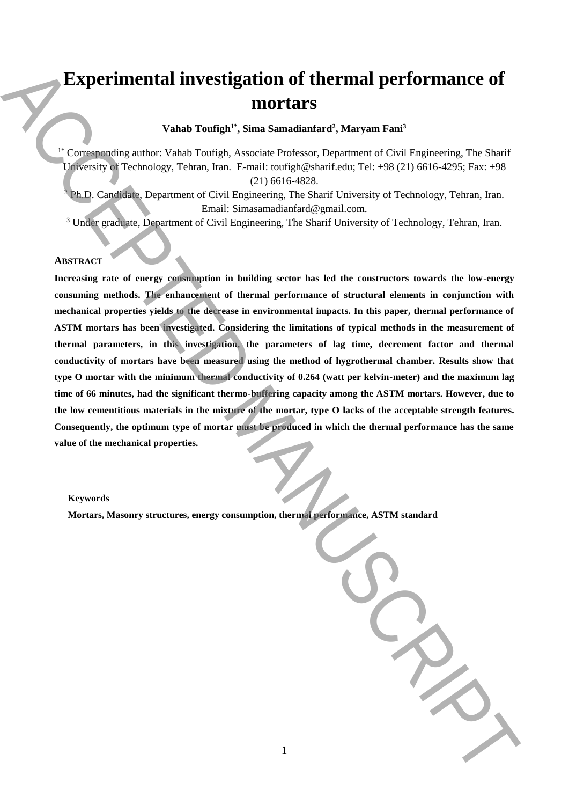# **Experimental investigation of thermal performance of mortars**

**Vahab Toufigh1\* , Sima Samadianfard<sup>2</sup> , Maryam Fani<sup>3</sup>**

<sup>1\*</sup> Corresponding author: Vahab Toufigh, Associate Professor, Department of Civil Engineering, The Sharif University of Technology, Tehran, Iran. E-mail: toufigh@sharif.edu; Tel: +98 (21) 6616-4295; Fax: +98 (21) 6616-4828.

<sup>2</sup> Ph.D. Candidate, Department of Civil Engineering, The Sharif University of Technology, Tehran, Iran. Email: Simasamadianfard@gmail.com.

<sup>3</sup> Under graduate, Department of Civil Engineering, The Sharif University of Technology, Tehran, Iran.

# **ABSTRACT**

**Increasing rate of energy consumption in building sector has led the constructors towards the low-energy consuming methods. The enhancement of thermal performance of structural elements in conjunction with mechanical properties yields to the decrease in environmental impacts. In this paper, thermal performance of ASTM mortars has been investigated. Considering the limitations of typical methods in the measurement of thermal parameters, in this investigation, the parameters of lag time, decrement factor and thermal conductivity of mortars have been measured using the method of hygrothermal chamber. Results show that type O mortar with the minimum thermal conductivity of 0.264 (watt per kelvin-meter) and the maximum lag time of 66 minutes, had the significant thermo-buffering capacity among the ASTM mortars. However, due to the low cementitious materials in the mixture of the mortar, type O lacks of the acceptable strength features. Consequently, the optimum type of mortar must be produced in which the thermal performance has the same value of the mechanical properties. More consumer than the consumeration** of the remainders, the system standard consumption of the consumption of the consumption of the consumption of the consumption of the consumption of the consumption of the consumption

# **Keywords**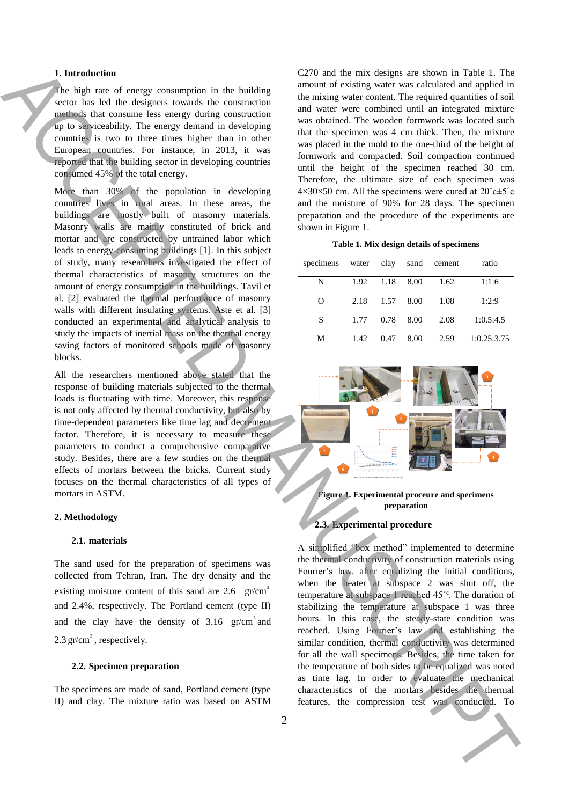# **1. Introduction**

The high rate of energy consumption in the building sector has led the designers towards the construction methods that consume less energy during construction up to serviceability. The energy demand in developing countries is two to three times higher than in other European countries. For instance, in 2013, it was reported that the building sector in developing countries consumed 45% of the total energy.

More than 30% of the population in developing countries lives in rural areas. In these areas, the buildings are mostly built of masonry materials. Masonry walls are mainly constituted of brick and mortar and are constructed by untrained labor which leads to energy-consuming buildings [1]. In this subject of study, many researchers investigated the effect of thermal characteristics of masonry structures on the amount of energy consumption in the buildings. Tavil et al. [2] evaluated the thermal performance of masonry walls with different insulating systems. Aste et al. [3] conducted an experimental and analytical analysis to study the impacts of inertial mass on the thermal energy saving factors of monitored schools made of masonry blocks. Free Manuscriptures is both the compatible in the both three compatible in the compatible in the compatible in the compatible in the compatible in the compatible in the compatible in the compatible in the compatible in th

All the researchers mentioned above stated that the response of building materials subjected to the thermal loads is fluctuating with time. Moreover, this response is not only affected by thermal conductivity, but also by time-dependent parameters like time lag and decrement factor. Therefore, it is necessary to measure these parameters to conduct a comprehensive comparative study. Besides, there are a few studies on the thermal effects of mortars between the bricks. Current study focuses on the thermal characteristics of all types of mortars in ASTM.

## **2. Methodology**

# **2.1. materials**

The sand used for the preparation of specimens was collected from Tehran, Iran. The dry density and the existing moisture content of this sand are 2.6  $\text{gr/cm}^3$ and 2.4%, respectively. The Portland cement (type II) and the clay have the density of  $3.16 \text{ gr/cm}^3$  and  $2.3 \text{ gr/cm}^3$ , respectively.

# **2.2. Specimen preparation**

The specimens are made of sand, Portland cement (type II) and clay. The mixture ratio was based on ASTM C270 and the mix designs are shown in Table 1. The amount of existing water was calculated and applied in the mixing water content. The required quantities of soil and water were combined until an integrated mixture was obtained. The wooden formwork was located such that the specimen was 4 cm thick. Then, the mixture was placed in the mold to the one-third of the height of formwork and compacted. Soil compaction continued until the height of the specimen reached 30 cm. Therefore, the ultimate size of each specimen was  $4\times30\times50$  cm. All the specimens were cured at  $20^{\circ}$ c $\pm5^{\circ}$ c and the moisture of 90% for 28 days. The specimen preparation and the procedure of the experiments are shown in Figure 1.

| Table 1. Mix design details of specimens |  |  |  |  |
|------------------------------------------|--|--|--|--|
|------------------------------------------|--|--|--|--|

<span id="page-1-0"></span>

| specimens |      |      |      | water clay sand cement | ratio       |
|-----------|------|------|------|------------------------|-------------|
| N         | 1.92 | 1.18 | 8.00 | 1.62                   | 1:1:6       |
| O         | 2.18 | 1.57 | 8.00 | 1.08                   | 1:2:9       |
| S         | 1.77 | 0.78 | 8.00 | 2.08                   | 1:0.5:4.5   |
| М         | 1.42 | 0.47 | 8.00 | 2.59                   | 1:0.25:3.75 |



<span id="page-1-1"></span>**Figure 1. Experimental proceure and specimens preparation**

# **2.3. Experimental procedure**

A simplified "box method" implemented to determine the thermal conductivity of construction materials using Fourier's law. after equalizing the initial conditions, when the heater at subspace 2 was shut off, the temperature at subspace 1 reached 45˚<sup>c</sup> . The duration of stabilizing the temperature at subspace 1 was three hours. In this case, the steady-state condition was reached. Using Fourier's law and establishing the similar condition, thermal conductivity was determined for all the wall specimens. Besides, the time taken for the temperature of both sides to be equalized was noted as time lag. In order to evaluate the mechanical characteristics of the mortars besides the thermal